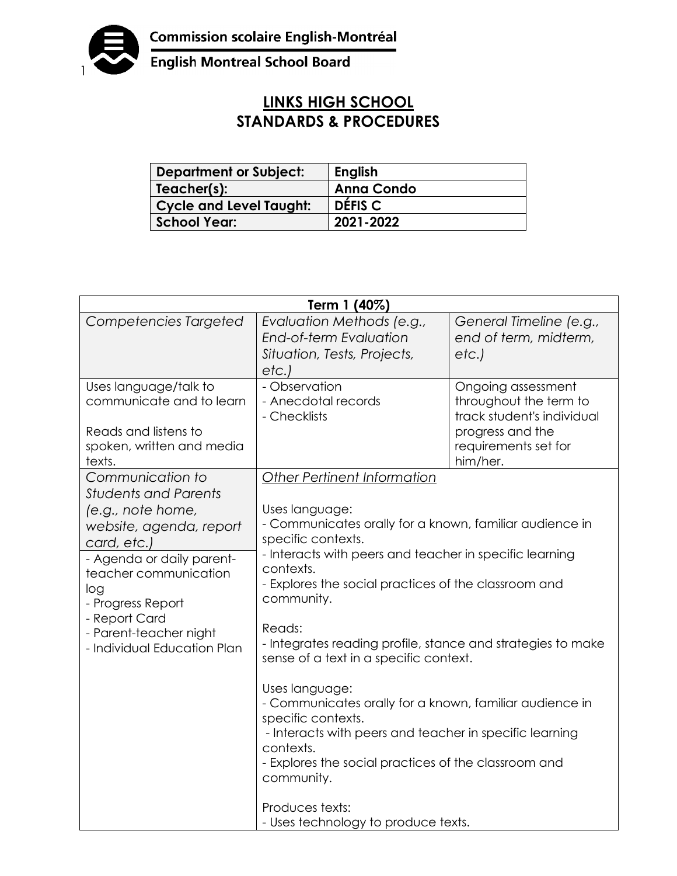

## **LINKS HIGH SCHOOL STANDARDS & PROCEDURES**

| <b>Department or Subject:</b>  | <b>English</b>    |
|--------------------------------|-------------------|
| Teacher(s):                    | <b>Anna Condo</b> |
| <b>Cycle and Level Taught:</b> | DÉFIS C           |
| <b>School Year:</b>            | 2021-2022         |

| Term 1 (40%)                                                                                                                                                                                                                                                               |                                                                                                                                                                                                                                                                                                                                                                                                                                                                                                                                                                                                                                                  |                                                                                                                                    |  |
|----------------------------------------------------------------------------------------------------------------------------------------------------------------------------------------------------------------------------------------------------------------------------|--------------------------------------------------------------------------------------------------------------------------------------------------------------------------------------------------------------------------------------------------------------------------------------------------------------------------------------------------------------------------------------------------------------------------------------------------------------------------------------------------------------------------------------------------------------------------------------------------------------------------------------------------|------------------------------------------------------------------------------------------------------------------------------------|--|
| Competencies Targeted                                                                                                                                                                                                                                                      | Evaluation Methods (e.g.,<br>End-of-term Evaluation<br>Situation, Tests, Projects,<br>etc.                                                                                                                                                                                                                                                                                                                                                                                                                                                                                                                                                       | General Timeline (e.g.,<br>end of term, midterm,<br>etc.                                                                           |  |
| Uses language/talk to<br>communicate and to learn<br>Reads and listens to<br>spoken, written and media<br>texts.                                                                                                                                                           | - Observation<br>- Anecdotal records<br>- Checklists                                                                                                                                                                                                                                                                                                                                                                                                                                                                                                                                                                                             | Ongoing assessment<br>throughout the term to<br>track student's individual<br>progress and the<br>requirements set for<br>him/her. |  |
| Communication to<br><b>Students and Parents</b><br>(e.g., note home,<br>website, agenda, report<br>card, etc.)<br>- Agenda or daily parent-<br>teacher communication<br>log<br>- Progress Report<br>- Report Card<br>- Parent-teacher night<br>- Individual Education Plan | Other Pertinent Information<br>Uses language:<br>- Communicates orally for a known, familiar audience in<br>specific contexts.<br>- Interacts with peers and teacher in specific learning<br>contexts.<br>- Explores the social practices of the classroom and<br>community.<br>Reads:<br>- Integrates reading profile, stance and strategies to make<br>sense of a text in a specific context.<br>Uses language:<br>- Communicates orally for a known, familiar audience in<br>specific contexts.<br>- Interacts with peers and teacher in specific learning<br>contexts.<br>- Explores the social practices of the classroom and<br>community. |                                                                                                                                    |  |